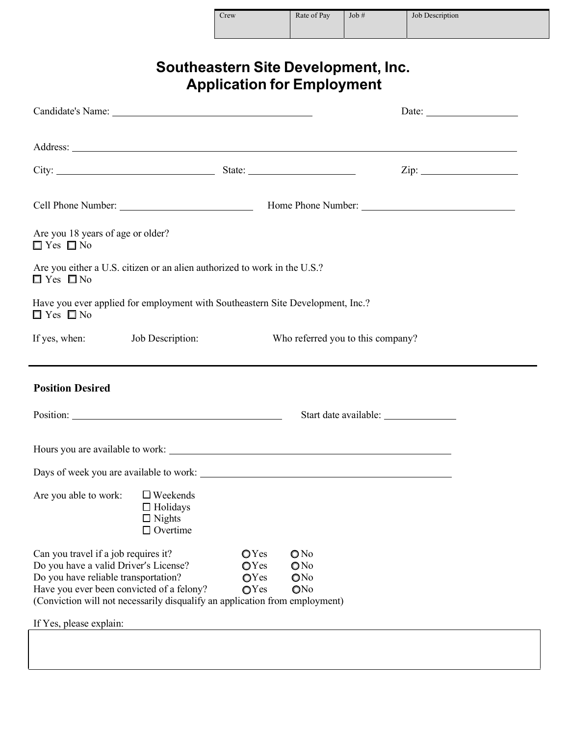| Crew | Rate of Pay | Job# | Job Description |
|------|-------------|------|-----------------|
|      |             |      |                 |

| <b>Southeastern Site Development, Inc.</b> |  |
|--------------------------------------------|--|
| <b>Application for Employment</b>          |  |

|                                                                                                                                                                                                                                                   |                                                                                  |                              |                          |                                   | Date: $\frac{1}{\sqrt{1-\frac{1}{2}}\sqrt{1-\frac{1}{2}}\sqrt{1-\frac{1}{2}}\sqrt{1-\frac{1}{2}}\sqrt{1-\frac{1}{2}}\sqrt{1-\frac{1}{2}}\sqrt{1-\frac{1}{2}}\sqrt{1-\frac{1}{2}}\sqrt{1-\frac{1}{2}}\sqrt{1-\frac{1}{2}}\sqrt{1-\frac{1}{2}}\sqrt{1-\frac{1}{2}}\sqrt{1-\frac{1}{2}}\sqrt{1-\frac{1}{2}}\sqrt{1-\frac{1}{2}}\sqrt{1-\frac{1}{2}}\sqrt{1-\frac{1}{2}}\sqrt{1-\frac{1}{2}}\sqrt{1-\frac{1}{2}}$ |
|---------------------------------------------------------------------------------------------------------------------------------------------------------------------------------------------------------------------------------------------------|----------------------------------------------------------------------------------|------------------------------|--------------------------|-----------------------------------|---------------------------------------------------------------------------------------------------------------------------------------------------------------------------------------------------------------------------------------------------------------------------------------------------------------------------------------------------------------------------------------------------------------|
|                                                                                                                                                                                                                                                   |                                                                                  |                              |                          |                                   |                                                                                                                                                                                                                                                                                                                                                                                                               |
|                                                                                                                                                                                                                                                   |                                                                                  |                              |                          |                                   | Zip:                                                                                                                                                                                                                                                                                                                                                                                                          |
|                                                                                                                                                                                                                                                   |                                                                                  |                              |                          |                                   |                                                                                                                                                                                                                                                                                                                                                                                                               |
| Are you 18 years of age or older?<br>$\Box$ Yes $\Box$ No                                                                                                                                                                                         |                                                                                  |                              |                          |                                   |                                                                                                                                                                                                                                                                                                                                                                                                               |
| Are you either a U.S. citizen or an alien authorized to work in the U.S.?<br>$\Box$ Yes $\Box$ No                                                                                                                                                 |                                                                                  |                              |                          |                                   |                                                                                                                                                                                                                                                                                                                                                                                                               |
| Have you ever applied for employment with Southeastern Site Development, Inc.?<br>$\Box$ Yes $\Box$ No                                                                                                                                            |                                                                                  |                              |                          |                                   |                                                                                                                                                                                                                                                                                                                                                                                                               |
| If yes, when:                                                                                                                                                                                                                                     | Job Description:                                                                 |                              |                          | Who referred you to this company? |                                                                                                                                                                                                                                                                                                                                                                                                               |
| <b>Position Desired</b>                                                                                                                                                                                                                           |                                                                                  |                              |                          |                                   |                                                                                                                                                                                                                                                                                                                                                                                                               |
|                                                                                                                                                                                                                                                   |                                                                                  |                              |                          |                                   |                                                                                                                                                                                                                                                                                                                                                                                                               |
|                                                                                                                                                                                                                                                   |                                                                                  |                              |                          |                                   |                                                                                                                                                                                                                                                                                                                                                                                                               |
|                                                                                                                                                                                                                                                   |                                                                                  |                              |                          |                                   |                                                                                                                                                                                                                                                                                                                                                                                                               |
| Are you able to work:                                                                                                                                                                                                                             | $\Box$ Weekends<br>$\Box$ Holidays<br>$\hfill \square$ Nights<br>$\Box$ Overtime |                              |                          |                                   |                                                                                                                                                                                                                                                                                                                                                                                                               |
| Can you travel if a job requires it?<br>Do you have a valid Driver's License?<br>Do you have reliable transportation?<br>Have you ever been convicted of a felony?<br>(Conviction will not necessarily disqualify an application from employment) |                                                                                  | OYes<br>OYes<br>OYes<br>OYes | ONo<br>ONo<br>ONo<br>ONo |                                   |                                                                                                                                                                                                                                                                                                                                                                                                               |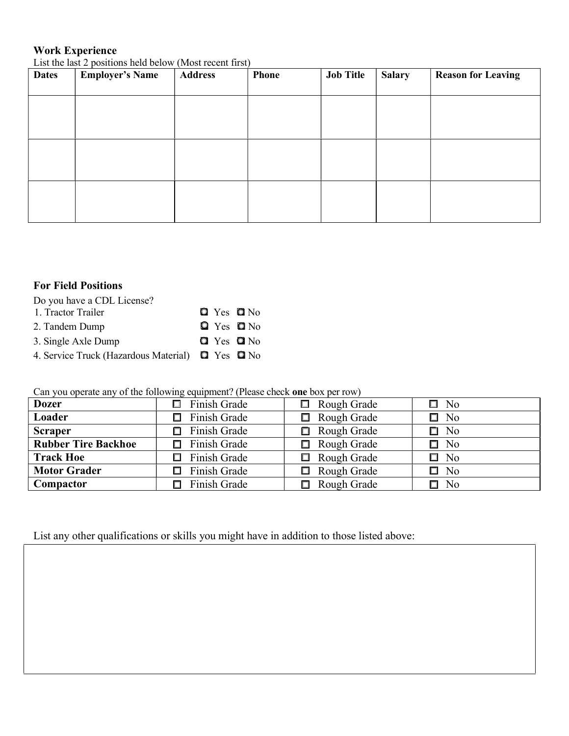## Work Experience

List the last 2 positions held below (Most recent first)

| <b>Dates</b> | <b>Employer's Name</b> | <b>Address</b> | <b>Phone</b> | <b>Job Title</b> | <b>Salary</b> | <b>Reason for Leaving</b> |
|--------------|------------------------|----------------|--------------|------------------|---------------|---------------------------|
|              |                        |                |              |                  |               |                           |
|              |                        |                |              |                  |               |                           |
|              |                        |                |              |                  |               |                           |
|              |                        |                |              |                  |               |                           |
|              |                        |                |              |                  |               |                           |
|              |                        |                |              |                  |               |                           |
|              |                        |                |              |                  |               |                           |

## For Field Positions

Do you have a CDL License?

| 1. Tractor Trailer                               |  | $Q$ Yes $Q$ No |
|--------------------------------------------------|--|----------------|
| 2. Tandem Dump                                   |  | $Q$ Yes $Q$ No |
| 3. Single Axle Dump                              |  | $Q$ Yes $Q$ No |
| 4. Service Truck (Hazardous Material) Q Yes Q No |  |                |

Can you operate any of the following equipment? (Please check one box per row)

| <b>Dozer</b>               | Finish Grade           | Rough Grade<br>□      | $\square$ No |  |
|----------------------------|------------------------|-----------------------|--------------|--|
| Loader                     | Finish Grade<br>$\Box$ | Rough Grade<br>$\Box$ | $\square$ No |  |
| <b>Scraper</b>             | Finish Grade           | Rough Grade<br>□      | $\square$ No |  |
| <b>Rubber Tire Backhoe</b> | Finish Grade           | $\Box$ Rough Grade    | $\square$ No |  |
| <b>Track Hoe</b>           | Finish Grade           | Rough Grade<br>П      | $\square$ No |  |
| <b>Motor Grader</b>        | Finish Grade           | Rough Grade<br>□      | $\square$ No |  |
| Compactor                  | Finish Grade           | Rough Grade<br>П.     | $\square$ No |  |

List any other qualifications or skills you might have in addition to those listed above: